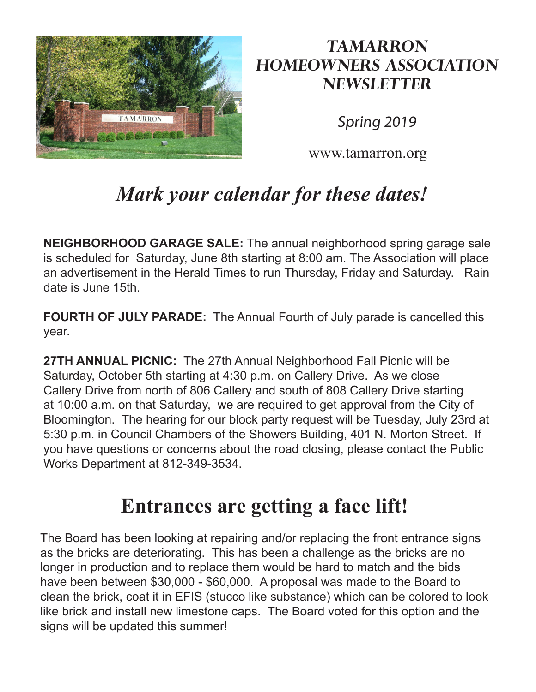

## **Tamarron Homeowners Association Newsletter**

Spring 2019

www.tamarron.org

## *Mark your calendar for these dates!*

**NEIGHBORHOOD GARAGE SALE:** The annual neighborhood spring garage sale is scheduled for Saturday, June 8th starting at 8:00 am. The Association will place an advertisement in the Herald Times to run Thursday, Friday and Saturday. Rain date is June 15th.

**FOURTH OF JULY PARADE:** The Annual Fourth of July parade is cancelled this year.

**27TH ANNUAL PICNIC:** The 27th Annual Neighborhood Fall Picnic will be Saturday, October 5th starting at 4:30 p.m. on Callery Drive. As we close Callery Drive from north of 806 Callery and south of 808 Callery Drive starting at 10:00 a.m. on that Saturday, we are required to get approval from the City of Bloomington. The hearing for our block party request will be Tuesday, July 23rd at 5:30 p.m. in Council Chambers of the Showers Building, 401 N. Morton Street. If you have questions or concerns about the road closing, please contact the Public Works Department at 812-349-3534.

## **Entrances are getting a face lift!**

The Board has been looking at repairing and/or replacing the front entrance signs as the bricks are deteriorating. This has been a challenge as the bricks are no longer in production and to replace them would be hard to match and the bids have been between \$30,000 - \$60,000. A proposal was made to the Board to clean the brick, coat it in EFIS (stucco like substance) which can be colored to look like brick and install new limestone caps. The Board voted for this option and the signs will be updated this summer!